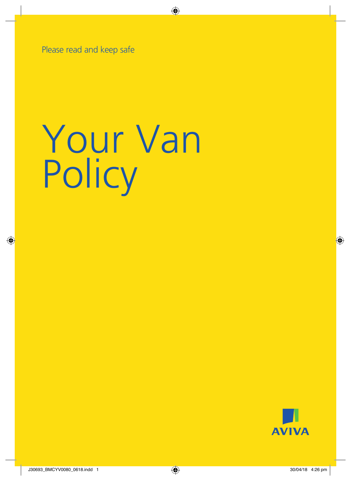Please read and keep safe

# Your Van **Policy**

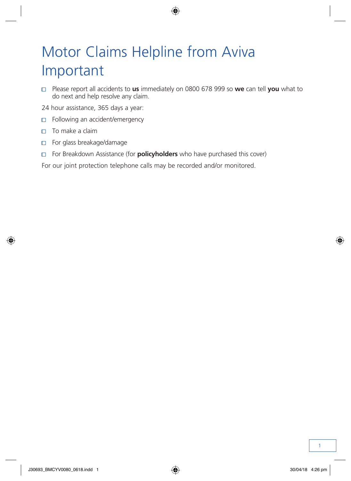# Motor Claims Helpline from Aviva Important

- Please report all accidents to **us** immediately on 0800 678 999 so **we** can tell **you** what to do next and help resolve any claim.
- 24 hour assistance, 365 days a year:
- Following an accident/emergency  $\Box$
- $\Box$  To make a claim
- For glass breakage/damage
- For Breakdown Assistance (for **policyholders** who have purchased this cover)

For our joint protection telephone calls may be recorded and/or monitored.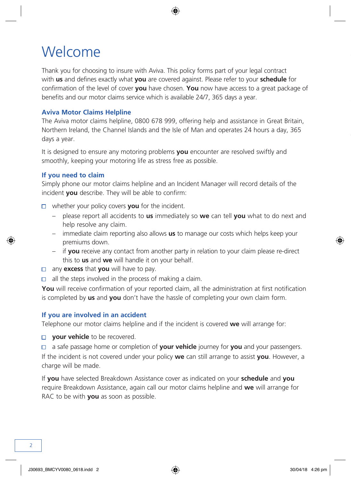### <span id="page-3-0"></span>Welcome

Thank you for choosing to insure with Aviva. This policy forms part of your legal contract with **us** and defines exactly what **you** are covered against. Please refer to your **schedule** for confirmation of the level of cover **you** have chosen. **You** now have access to a great package of benefits and our motor claims service which is available 24/7, 365 days a year.

#### **Aviva Motor Claims Helpline**

The Aviva motor claims helpline, 0800 678 999, offering help and assistance in Great Britain, Northern Ireland, the Channel Islands and the Isle of Man and operates 24 hours a day, 365 days a year.

It is designed to ensure any motoring problems **you** encounter are resolved swiftly and smoothly, keeping your motoring life as stress free as possible.

#### **If you need to claim**

Simply phone our motor claims helpline and an Incident Manager will record details of the incident **you** describe. They will be able to confirm:

- whether your policy covers **you** for the incident.
	- please report all accidents to **us** immediately so **we** can tell **you** what to do next and help resolve any claim.
	- immediate claim reporting also allows **us** to manage our costs which helps keep your premiums down.
	- if **you** receive any contact from another party in relation to your claim please re-direct this to **us** and **we** will handle it on your behalf.
- any **excess** that **you** will have to pay.
- $\Box$  all the steps involved in the process of making a claim.

**You** will receive confirmation of your reported claim, all the administration at first notification is completed by **us** and **you** don't have the hassle of completing your own claim form.

#### **If you are involved in an accident**

Telephone our motor claims helpline and if the incident is covered **we** will arrange for:

- **your vehicle** to be recovered.
- a safe passage home or completion of **your vehicle** journey for **you** and your passengers.

If the incident is not covered under your policy **we** can still arrange to assist **you**. However, a charge will be made.

If **you** have selected Breakdown Assistance cover as indicated on your **schedule** and **you** require Breakdown Assistance, again call our motor claims helpline and **we** will arrange for RAC to be with **you** as soon as possible.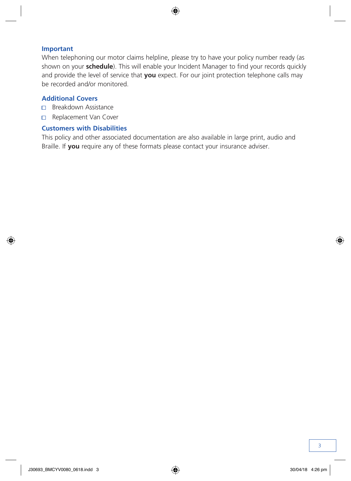#### **Important**

When telephoning our motor claims helpline, please try to have your policy number ready (as shown on your **schedule**). This will enable your Incident Manager to find your records quickly and provide the level of service that **you** expect. For our joint protection telephone calls may be recorded and/or monitored.

#### **Additional Covers**

- □ Breakdown Assistance
- Replacement Van Cover

#### **Customers with Disabilities**

This policy and other associated documentation are also available in large print, audio and Braille. If **you** require any of these formats please contact your insurance adviser.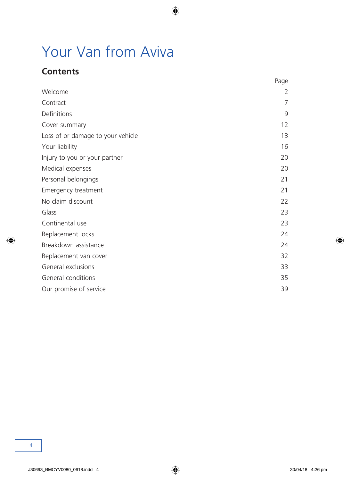# <span id="page-5-0"></span>Your Van from Aviva

### **Contents**

|                                   | Page |
|-----------------------------------|------|
| Welcome                           | 2    |
| Contract                          | 7    |
| Definitions                       | 9    |
| Cover summary                     | 12   |
| Loss of or damage to your vehicle | 13   |
| Your liability                    | 16   |
| Injury to you or your partner     | 20   |
| Medical expenses                  | 20   |
| Personal belongings               | 21   |
| Emergency treatment               | 21   |
| No claim discount                 | 22   |
| Glass                             | 23   |
| Continental use                   | 23   |
| Replacement locks                 | 24   |
| Breakdown assistance              | 24   |
| Replacement van cover             | 32   |
| General exclusions                | 33   |
| General conditions                | 35   |
| Our promise of service            | 39   |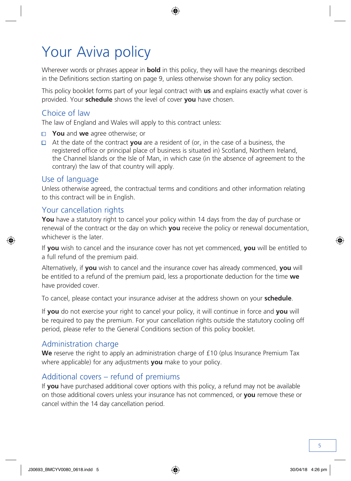# Your Aviva policy

Wherever words or phrases appear in **bold** in this policy, they will have the meanings described in the Definitions section starting on page 9, unless otherwise shown for any policy section.

This policy booklet forms part of your legal contract with **us** and explains exactly what cover is provided. Your **schedule** shows the level of cover **you** have chosen.

### Choice of law

The law of England and Wales will apply to this contract unless:

- **You** and **we** agree otherwise; or
- At the date of the contract **you** are a resident of (or, in the case of a business, the registered office or principal place of business is situated in) Scotland, Northern Ireland, the Channel Islands or the Isle of Man, in which case (in the absence of agreement to the contrary) the law of that country will apply.

### Use of language

Unless otherwise agreed, the contractual terms and conditions and other information relating to this contract will be in English.

### Your cancellation rights

**You** have a statutory right to cancel your policy within 14 days from the day of purchase or renewal of the contract or the day on which **you** receive the policy or renewal documentation, whichever is the later.

If **you** wish to cancel and the insurance cover has not yet commenced, **you** will be entitled to a full refund of the premium paid.

Alternatively, if **you** wish to cancel and the insurance cover has already commenced, **you** will be entitled to a refund of the premium paid, less a proportionate deduction for the time **we** have provided cover.

To cancel, please contact your insurance adviser at the address shown on your **schedule**.

If **you** do not exercise your right to cancel your policy, it will continue in force and **you** will be required to pay the premium. For your cancellation rights outside the statutory cooling off period, please refer to the General Conditions section of this policy booklet.

### Administration charge

We reserve the right to apply an administration charge of £10 (plus Insurance Premium Tax where applicable) for any adjustments **you** make to your policy.

### Additional covers – refund of premiums

If **you** have purchased additional cover options with this policy, a refund may not be available on those additional covers unless your insurance has not commenced, or **you** remove these or cancel within the 14 day cancellation period.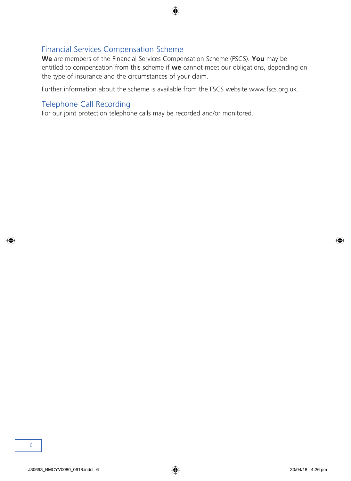### Financial Services Compensation Scheme

**We** are members of the Financial Services Compensation Scheme (FSCS). **You** may be entitled to compensation from this scheme if **we** cannot meet our obligations, depending on the type of insurance and the circumstances of your claim.

Further information about the scheme is available from the FSCS website www.fscs.org.uk.

### Telephone Call Recording

For our joint protection telephone calls may be recorded and/or monitored.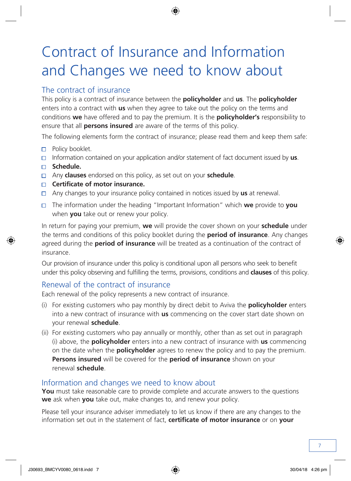# Contract of Insurance and Information and Changes we need to know about

### The contract of insurance

This policy is a contract of insurance between the **policyholder** and **us**. The **policyholder** enters into a contract with **us** when they agree to take out the policy on the terms and conditions **we** have offered and to pay the premium. It is the **policyholder's** responsibility to ensure that all **persons insured** are aware of the terms of this policy.

The following elements form the contract of insurance; please read them and keep them safe:

- **Policy booklet.**
- Information contained on your application and/or statement of fact document issued by **us**.
- **Schedule.**
- Any **clauses** endorsed on this policy, as set out on your **schedule**.
- **Certificate of motor insurance.**
- Any changes to your insurance policy contained in notices issued by **us** at renewal.
- The information under the heading "Important Information" which **we** provide to **you** when **you** take out or renew your policy.

In return for paying your premium, **we** will provide the cover shown on your **schedule** under the terms and conditions of this policy booklet during the **period of insurance**. Any changes agreed during the **period of insurance** will be treated as a continuation of the contract of insurance.

Our provision of insurance under this policy is conditional upon all persons who seek to benefit under this policy observing and fulfilling the terms, provisions, conditions and **clauses** of this policy.

### Renewal of the contract of insurance

Each renewal of the policy represents a new contract of insurance.

- (i) For existing customers who pay monthly by direct debit to Aviva the **policyholder** enters into a new contract of insurance with **us** commencing on the cover start date shown on your renewal **schedule**.
- (ii) For existing customers who pay annually or monthly, other than as set out in paragraph (i) above, the **policyholder** enters into a new contract of insurance with **us** commencing on the date when the **policyholder** agrees to renew the policy and to pay the premium. **Persons insured** will be covered for the **period of insurance** shown on your renewal **schedule**.

### Information and changes we need to know about

**You** must take reasonable care to provide complete and accurate answers to the questions **we** ask when **you** take out, make changes to, and renew your policy.

Please tell your insurance adviser immediately to let us know if there are any changes to the information set out in the statement of fact, **certificate of motor insurance** or on **your**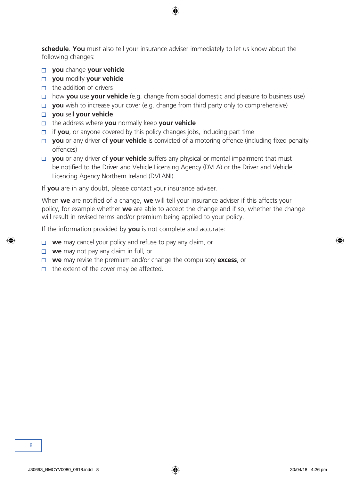**schedule**. **You** must also tell your insurance adviser immediately to let us know about the following changes:

- **you** change **your vehicle**
- **you** modify **your vehicle**
- $\Box$  the addition of drivers
- how **you** use **your vehicle** (e.g. change from social domestic and pleasure to business use)
- **you** wish to increase your cover (e.g. change from third party only to comprehensive)
- **you** sell **your vehicle**
- the address where **you** normally keep **your vehicle**
- □ if **you**, or anyone covered by this policy changes jobs, including part time
- **D you** or any driver of **your vehicle** is convicted of a motoring offence (including fixed penalty offences)
- **D you** or any driver of **your vehicle** suffers any physical or mental impairment that must be notified to the Driver and Vehicle Licensing Agency (DVLA) or the Driver and Vehicle Licencing Agency Northern Ireland (DVLANI).

If **you** are in any doubt, please contact your insurance adviser.

When **we** are notified of a change, **we** will tell your insurance adviser if this affects your policy, for example whether **we** are able to accept the change and if so, whether the change will result in revised terms and/or premium being applied to your policy.

If the information provided by **you** is not complete and accurate:

- **we** may cancel your policy and refuse to pay any claim, or
- **we** may not pay any claim in full, or
- **we** may revise the premium and/or change the compulsory **excess**, or
- $\Box$  the extent of the cover may be affected.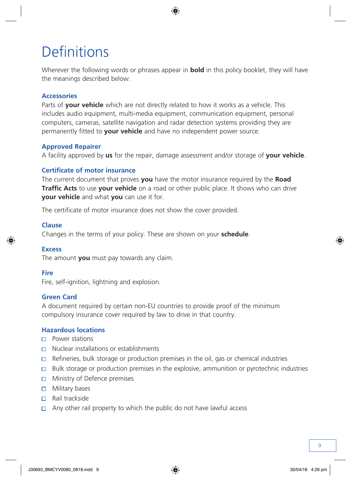# <span id="page-10-0"></span>**Definitions**

Wherever the following words or phrases appear in **bold** in this policy booklet, they will have the meanings described below:

#### **Accessories**

Parts of **your vehicle** which are not directly related to how it works as a vehicle. This includes audio equipment, multi-media equipment, communication equipment, personal computers, cameras, satellite navigation and radar detection systems providing they are permanently fitted to **your vehicle** and have no independent power source.

#### **Approved Repairer**

A facility approved by **us** for the repair, damage assessment and/or storage of **your vehicle**.

#### **Certificate of motor insurance**

The current document that proves **you** have the motor insurance required by the **Road Traffic Acts** to use **your vehicle** on a road or other public place. It shows who can drive **your vehicle** and what **you** can use it for.

The certificate of motor insurance does not show the cover provided.

#### **Clause**

Changes in the terms of your policy. These are shown on your **schedule**.

#### **Excess**

The amount **you** must pay towards any claim.

#### **Fire**

Fire, self-ignition, lightning and explosion.

#### **Green Card**

A document required by certain non-EU countries to provide proof of the minimum compulsory insurance cover required by law to drive in that country.

#### **Hazardous locations**

- Power stations
- $\neg$  Nuclear installations or establishments
- $\Box$  Refineries, bulk storage or production premises in the oil, gas or chemical industries
- $\Box$  Bulk storage or production premises in the explosive, ammunition or pyrotechnic industries
- $\Box$  Ministry of Defence premises
- $\Box$  Military bases
- $\Box$  Rail trackside
- $\Box$  Any other rail property to which the public do not have lawful access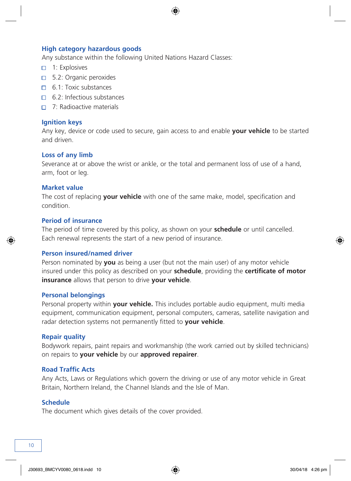#### **High category hazardous goods**

Any substance within the following United Nations Hazard Classes:

- $\Box$  1: Explosives
- □ 5.2: Organic peroxides
- 6.1: Toxic substances
- 6.2: Infectious substances
- □ 7: Radioactive materials

#### **Ignition keys**

Any key, device or code used to secure, gain access to and enable **your vehicle** to be started and driven.

#### **Loss of any limb**

Severance at or above the wrist or ankle, or the total and permanent loss of use of a hand, arm, foot or leg.

#### **Market value**

The cost of replacing **your vehicle** with one of the same make, model, specification and condition.

#### **Period of insurance**

The period of time covered by this policy, as shown on your **schedule** or until cancelled. Each renewal represents the start of a new period of insurance.

#### **Person insured/named driver**

Person nominated by **you** as being a user (but not the main user) of any motor vehicle insured under this policy as described on your **schedule**, providing the **certificate of motor insurance** allows that person to drive **your vehicle**.

#### **Personal belongings**

Personal property within **your vehicle.** This includes portable audio equipment, multi media equipment, communication equipment, personal computers, cameras, satellite navigation and radar detection systems not permanently fitted to **your vehicle**.

#### **Repair quality**

Bodywork repairs, paint repairs and workmanship (the work carried out by skilled technicians) on repairs to **your vehicle** by our **approved repairer**.

#### **Road Traffic Acts**

Any Acts, Laws or Regulations which govern the driving or use of any motor vehicle in Great Britain, Northern Ireland, the Channel Islands and the Isle of Man.

#### **Schedule**

The document which gives details of the cover provided.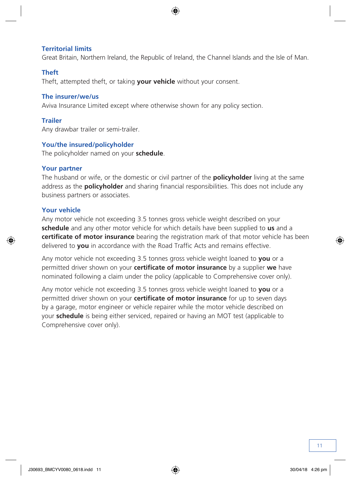#### **Territorial limits**

Great Britain, Northern Ireland, the Republic of Ireland, the Channel Islands and the Isle of Man.

#### **Theft**

Theft, attempted theft, or taking **your vehicle** without your consent.

#### **The insurer/we/us**

Aviva Insurance Limited except where otherwise shown for any policy section.

#### **Trailer**

Any drawbar trailer or semi-trailer.

#### **You/the insured/policyholder**

The policyholder named on your **schedule**.

#### **Your partner**

The husband or wife, or the domestic or civil partner of the **policyholder** living at the same address as the **policyholder** and sharing financial responsibilities. This does not include any business partners or associates.

#### **Your vehicle**

Any motor vehicle not exceeding 3.5 tonnes gross vehicle weight described on your **schedule** and any other motor vehicle for which details have been supplied to **us** and a **certificate of motor insurance** bearing the registration mark of that motor vehicle has been delivered to **you** in accordance with the Road Traffic Acts and remains effective.

Any motor vehicle not exceeding 3.5 tonnes gross vehicle weight loaned to **you** or a permitted driver shown on your **certificate of motor insurance** by a supplier **we** have nominated following a claim under the policy (applicable to Comprehensive cover only).

Any motor vehicle not exceeding 3.5 tonnes gross vehicle weight loaned to **you** or a permitted driver shown on your **certificate of motor insurance** for up to seven days by a garage, motor engineer or vehicle repairer while the motor vehicle described on your **schedule** is being either serviced, repaired or having an MOT test (applicable to Comprehensive cover only).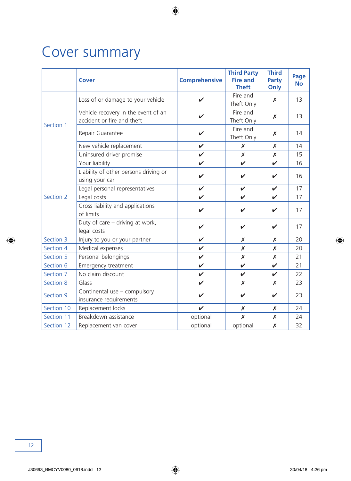# <span id="page-13-0"></span>Cover summary

|            | <b>Cover</b>                                                      | <b>Comprehensive</b> | <b>Third Party</b><br><b>Fire and</b><br><b>Theft</b> | <b>Third</b><br>Party<br>Only | Page<br><b>No</b> |
|------------|-------------------------------------------------------------------|----------------------|-------------------------------------------------------|-------------------------------|-------------------|
| Section 1  | Loss of or damage to your vehicle                                 | ✓                    | Fire and<br>Theft Only                                | X                             | 13                |
|            | Vehicle recovery in the event of an<br>accident or fire and theft |                      | Fire and<br>Theft Only                                | X                             | 13                |
|            | Repair Guarantee                                                  | V                    | Fire and<br>Theft Only                                | Х                             | 14                |
|            | New vehicle replacement                                           | V                    | Х                                                     | Х                             | 14                |
|            | Uninsured driver promise                                          | $\checkmark$         | Х                                                     | X                             | 15                |
|            | Your liability                                                    | $\checkmark$         | V                                                     | V                             | 16                |
|            | Liability of other persons driving or<br>using your car           | V                    | ✓                                                     | ✔                             | 16                |
|            | Legal personal representatives                                    | V                    | V                                                     | V                             | 17                |
| Section 2  | Legal costs                                                       | ✓                    | ✓                                                     | ✓                             | 17                |
|            | Cross liability and applications<br>of limits                     | ✓                    | ✔                                                     | $\checkmark$                  | 17                |
|            | Duty of care - driving at work,<br>legal costs                    | ✔                    | ✔                                                     | ✔                             | 17                |
| Section 3  | Injury to you or your partner                                     | V                    | Х                                                     | x                             | 20                |
| Section 4  | Medical expenses                                                  | V                    | Х                                                     | Х                             | 20                |
| Section 5  | Personal belongings                                               | V                    | Х                                                     | X                             | 21                |
| Section 6  | Emergency treatment                                               | $\checkmark$         | $\overline{\mathbf{v}}$                               | $\mathbf{v}$                  | 21                |
| Section 7  | No claim discount                                                 | $\checkmark$         | V                                                     | $\mathbf v$                   | 22                |
| Section 8  | Glass                                                             | V                    | Х                                                     | Х                             | 23                |
| Section 9  | Continental use - compulsory<br>insurance requirements            | ✓                    | ✓                                                     | V                             | 23                |
| Section 10 | Replacement locks                                                 | $\boldsymbol{\nu}$   | Х                                                     | Х                             | 24                |
| Section 11 | Breakdown assistance                                              | optional             | Х                                                     | x                             | 24                |
| Section 12 | Replacement van cover                                             | optional             | optional                                              | X                             | 32                |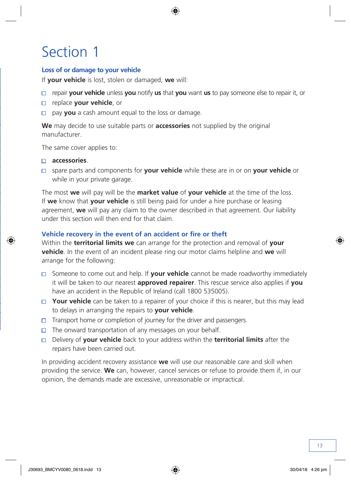#### <span id="page-14-0"></span>**Loss of or damage to your vehicle**

If **your vehicle** is lost, stolen or damaged, **we** will:

- repair **your vehicle** unless **you** notify **us** that **you** want **us** to pay someone else to repair it, or
- replace **your vehicle**, or
- pay **you** a cash amount equal to the loss or damage.

**We** may decide to use suitable parts or **accessories** not supplied by the original manufacturer.

The same cover applies to:

#### **accessories**.

 spare parts and components for **your vehicle** while these are in or on **your vehicle** or while in your private garage.

The most **we** will pay will be the **market value** of **your vehicle** at the time of the loss. If **we** know that **your vehicle** is still being paid for under a hire purchase or leasing agreement, **we** will pay any claim to the owner described in that agreement. Our liability under this section will then end for that claim.

#### **Vehicle recovery in the event of an accident or fire or theft**

Within the **territorial limits we** can arrange for the protection and removal of **your vehicle**. In the event of an incident please ring our motor claims helpline and **we** will arrange for the following:

- $\Box$  Someone to come out and help. If **your vehicle** cannot be made roadworthy immediately it will be taken to our nearest **approved repairer**. This rescue service also applies if **you**  have an accident in the Republic of Ireland (call 1800 535005).
- □ Your vehicle can be taken to a repairer of your choice if this is nearer, but this may lead to delays in arranging the repairs to **your vehicle**.
- $\Box$  Transport home or completion of journey for the driver and passengers.
- $\Box$  The onward transportation of any messages on your behalf.
- Delivery of **your vehicle** back to your address within the **territorial limits** after the repairs have been carried out.

In providing accident recovery assistance **we** will use our reasonable care and skill when providing the service. **We** can, however, cancel services or refuse to provide them if, in our opinion, the demands made are excessive, unreasonable or impractical.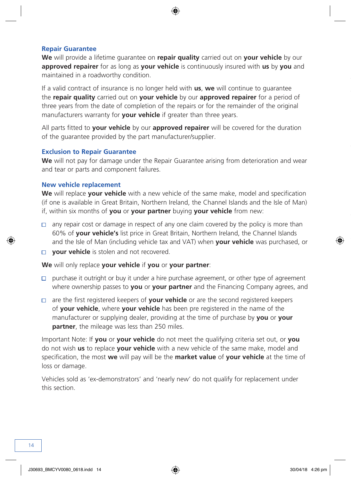#### **Repair Guarantee**

**We** will provide a lifetime guarantee on **repair quality** carried out on **your vehicle** by our **approved repairer** for as long as **your vehicle** is continuously insured with **us** by **you** and maintained in a roadworthy condition.

If a valid contract of insurance is no longer held with **us**, **we** will continue to guarantee the **repair quality** carried out on **your vehicle** by our **approved repairer** for a period of three years from the date of completion of the repairs or for the remainder of the original manufacturers warranty for **your vehicle** if greater than three years.

All parts fitted to **your vehicle** by our **approved repairer** will be covered for the duration of the guarantee provided by the part manufacturer/supplier.

#### **Exclusion to Repair Guarantee**

**We** will not pay for damage under the Repair Guarantee arising from deterioration and wear and tear or parts and component failures.

#### **New vehicle replacement**

**We** will replace **your vehicle** with a new vehicle of the same make, model and specification (if one is available in Great Britain, Northern Ireland, the Channel Islands and the Isle of Man) if, within six months of **you** or **your partner** buying **your vehicle** from new:

- $\Box$  any repair cost or damage in respect of any one claim covered by the policy is more than 60% of **your vehicle's** list price in Great Britain, Northern Ireland, the Channel Islands and the Isle of Man (including vehicle tax and VAT) when **your vehicle** was purchased, or
- **your vehicle** is stolen and not recovered.

**We** will only replace **your vehicle** if **you** or **your partner**:

- $\Box$  purchase it outright or buy it under a hire purchase agreement, or other type of agreement where ownership passes to **you** or **your partner** and the Financing Company agrees, and
- are the first registered keepers of **your vehicle** or are the second registered keepers of **your vehicle**, where **your vehicle** has been pre registered in the name of the manufacturer or supplying dealer, providing at the time of purchase by **you** or **your partner**, the mileage was less than 250 miles.

Important Note: If **you** or **your vehicle** do not meet the qualifying criteria set out, or **you** do not wish **us** to replace **your vehicle** with a new vehicle of the same make, model and specification, the most **we** will pay will be the **market value** of **your vehicle** at the time of loss or damage.

Vehicles sold as 'ex-demonstrators' and 'nearly new' do not qualify for replacement under this section.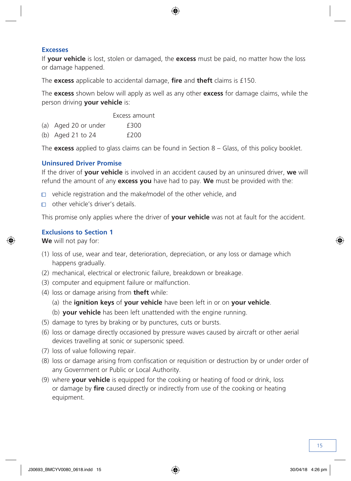#### **Excesses**

If **your vehicle** is lost, stolen or damaged, the **excess** must be paid, no matter how the loss or damage happened.

The **excess** applicable to accidental damage, **fire** and **theft** claims is £150.

The **excess** shown below will apply as well as any other **excess** for damage claims, while the person driving **your vehicle** is:

Excess amount

(a) Aged 20 or under **£300** 

(b) Aged 21 to 24 £200

The **excess** applied to glass claims can be found in Section 8 – Glass, of this policy booklet.

#### **Uninsured Driver Promise**

If the driver of **your vehicle** is involved in an accident caused by an uninsured driver, **we** will refund the amount of any **excess you** have had to pay. **We** must be provided with the:

- $\Box$  vehicle registration and the make/model of the other vehicle, and
- other vehicle's driver's details.

This promise only applies where the driver of **your vehicle** was not at fault for the accident.

#### **Exclusions to Section 1**

**We** will not pay for:

- (1) loss of use, wear and tear, deterioration, depreciation, or any loss or damage which happens gradually.
- (2) mechanical, electrical or electronic failure, breakdown or breakage.
- (3) computer and equipment failure or malfunction.
- (4) loss or damage arising from **theft** while:
	- (a) the **ignition keys** of **your vehicle** have been left in or on **your vehicle**.
	- (b) **your vehicle** has been left unattended with the engine running.
- (5) damage to tyres by braking or by punctures, cuts or bursts.
- (6) loss or damage directly occasioned by pressure waves caused by aircraft or other aerial devices travelling at sonic or supersonic speed.
- (7) loss of value following repair.
- (8) loss or damage arising from confiscation or requisition or destruction by or under order of any Government or Public or Local Authority.
- (9) where **your vehicle** is equipped for the cooking or heating of food or drink, loss or damage by **fire** caused directly or indirectly from use of the cooking or heating equipment.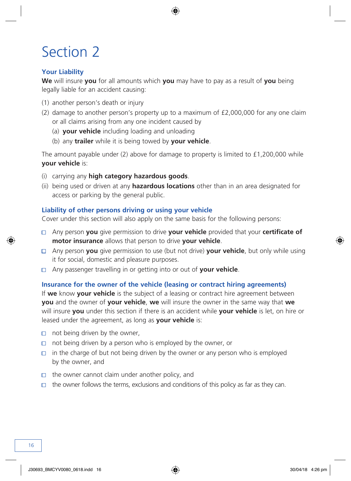### <span id="page-17-0"></span>**Your Liability**

**We** will insure **you** for all amounts which **you** may have to pay as a result of **you** being legally liable for an accident causing:

- (1) another person's death or injury
- (2) damage to another person's property up to a maximum of £2,000,000 for any one claim or all claims arising from any one incident caused by
	- (a) **your vehicle** including loading and unloading
	- (b) any **trailer** while it is being towed by **your vehicle**.

The amount payable under (2) above for damage to property is limited to  $£1,200,000$  while **your vehicle** is:

- (i) carrying any **high category hazardous goods**.
- (ii) being used or driven at any **hazardous locations** other than in an area designated for access or parking by the general public.

#### **Liability of other persons driving or using your vehicle**

Cover under this section will also apply on the same basis for the following persons:

- Any person **you** give permission to drive **your vehicle** provided that your **certificate of motor insurance** allows that person to drive **your vehicle**.
- Any person **you** give permission to use (but not drive) **your vehicle**, but only while using it for social, domestic and pleasure purposes.
- Any passenger travelling in or getting into or out of **your vehicle**.

#### **Insurance for the owner of the vehicle (leasing or contract hiring agreements)**

If **we** know **your vehicle** is the subject of a leasing or contract hire agreement between **you** and the owner of **your vehicle**, **we** will insure the owner in the same way that **we**  will insure **you** under this section if there is an accident while **your vehicle** is let, on hire or leased under the agreement, as long as **your vehicle** is:

- $\Box$  not being driven by the owner,
- $\Box$  not being driven by a person who is employed by the owner, or
- $\Box$  in the charge of but not being driven by the owner or any person who is employed by the owner, and
- $\Box$  the owner cannot claim under another policy, and
- $\Box$  the owner follows the terms, exclusions and conditions of this policy as far as they can.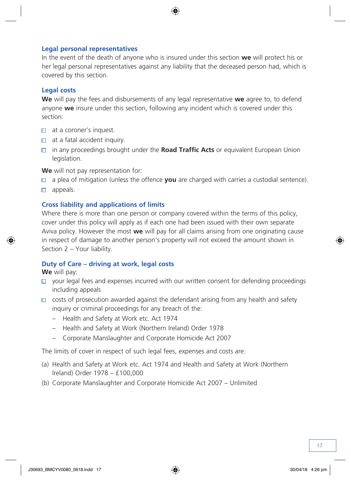#### **Legal personal representatives**

In the event of the death of anyone who is insured under this section **we** will protect his or her legal personal representatives against any liability that the deceased person had, which is covered by this section.

#### **Legal costs**

**We** will pay the fees and disbursements of any legal representative **we** agree to, to defend anyone **we** insure under this section, following any incident which is covered under this section:

- $\Box$  at a coroner's inquest.
- $\Box$  at a fatal accident inquiry.
- in any proceedings brought under the **Road Traffic Acts** or equivalent European Union legislation.

**We** will not pay representation for:

- a plea of mitigation (unless the offence **you** are charged with carries a custodial sentence).  $\Box$
- $\Box$  appeals.

#### **Cross liability and applications of limits**

Where there is more than one person or company covered within the terms of this policy, cover under this policy will apply as if each one had been issued with their own separate Aviva policy. However the most **we** will pay for all claims arising from one originating cause in respect of damage to another person's property will not exceed the amount shown in Section 2 – Your liability.

#### **Duty of Care – driving at work, legal costs**

**We** will pay:

- $\Box$  your legal fees and expenses incurred with our written consent for defending proceedings including appeals
- $\Box$  costs of prosecution awarded against the defendant arising from any health and safety inquiry or criminal proceedings for any breach of the:
	- Health and Safety at Work etc. Act 1974
	- Health and Safety at Work (Northern Ireland) Order 1978
	- Corporate Manslaughter and Corporate Homicide Act 2007

The limits of cover in respect of such legal fees, expenses and costs are:

- (a) Health and Safety at Work etc. Act 1974 and Health and Safety at Work (Northern Ireland) Order 1978 – £100,000
- (b) Corporate Manslaughter and Corporate Homicide Act 2007 Unlimited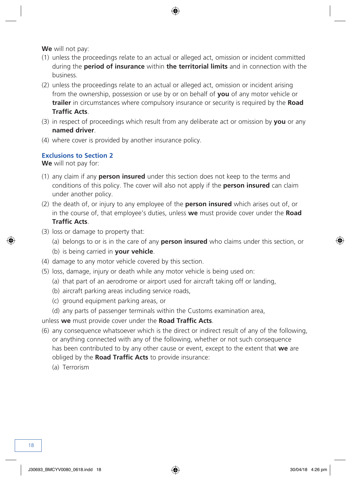**We** will not pay:

- (1) unless the proceedings relate to an actual or alleged act, omission or incident committed during the **period of insurance** within **the territorial limits** and in connection with the business.
- (2) unless the proceedings relate to an actual or alleged act, omission or incident arising from the ownership, possession or use by or on behalf of **you** of any motor vehicle or **trailer** in circumstances where compulsory insurance or security is required by the **Road Traffic Acts**.
- (3) in respect of proceedings which result from any deliberate act or omission by **you** or any **named driver**.
- (4) where cover is provided by another insurance policy.

#### **Exclusions to Section 2**

**We** will not pay for:

- (1) any claim if any **person insured** under this section does not keep to the terms and conditions of this policy. The cover will also not apply if the **person insured** can claim under another policy.
- (2) the death of, or injury to any employee of the **person insured** which arises out of, or in the course of, that employee's duties, unless **we** must provide cover under the **Road Traffic Acts**.
- (3) loss or damage to property that:
	- (a) belongs to or is in the care of any **person insured** who claims under this section, or
	- (b) is being carried in **your vehicle**.
- (4) damage to any motor vehicle covered by this section.
- (5) loss, damage, injury or death while any motor vehicle is being used on:
	- (a) that part of an aerodrome or airport used for aircraft taking off or landing,
	- (b) aircraft parking areas including service roads,
	- (c) ground equipment parking areas, or
	- (d) any parts of passenger terminals within the Customs examination area,
- unless **we** must provide cover under the **Road Traffic Acts**.
- (6) any consequence whatsoever which is the direct or indirect result of any of the following, or anything connected with any of the following, whether or not such consequence has been contributed to by any other cause or event, except to the extent that **we** are obliged by the **Road Traffic Acts** to provide insurance:
	- (a) Terrorism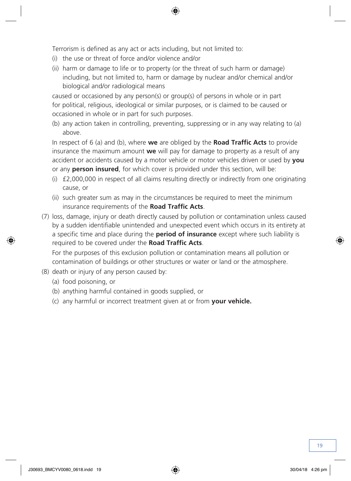Terrorism is defined as any act or acts including, but not limited to:

- (i) the use or threat of force and/or violence and/or
- (ii) harm or damage to life or to property (or the threat of such harm or damage) including, but not limited to, harm or damage by nuclear and/or chemical and/or biological and/or radiological means

caused or occasioned by any person(s) or group(s) of persons in whole or in part for political, religious, ideological or similar purposes, or is claimed to be caused or occasioned in whole or in part for such purposes.

(b) any action taken in controlling, preventing, suppressing or in any way relating to (a) above.

In respect of 6 (a) and (b), where **we** are obliged by the **Road Traffic Acts** to provide insurance the maximum amount **we** will pay for damage to property as a result of any accident or accidents caused by a motor vehicle or motor vehicles driven or used by **you**  or any **person insured**, for which cover is provided under this section, will be:

- (i) £2,000,000 in respect of all claims resulting directly or indirectly from one originating cause, or
- (ii) such greater sum as may in the circumstances be required to meet the minimum insurance requirements of the **Road Traffic Acts**.
- (7) loss, damage, injury or death directly caused by pollution or contamination unless caused by a sudden identifiable unintended and unexpected event which occurs in its entirety at a specific time and place during the **period of insurance** except where such liability is required to be covered under the **Road Traffic Acts**.

For the purposes of this exclusion pollution or contamination means all pollution or contamination of buildings or other structures or water or land or the atmosphere.

- (8) death or injury of any person caused by:
	- (a) food poisoning, or
	- (b) anything harmful contained in goods supplied, or
	- (c) any harmful or incorrect treatment given at or from **your vehicle.**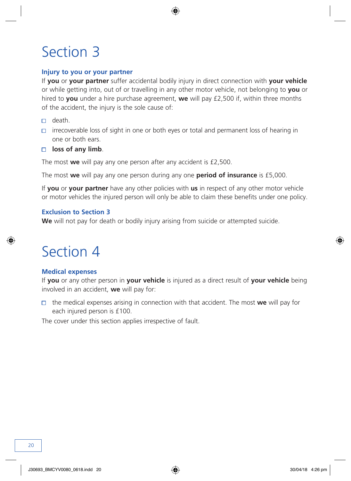#### <span id="page-21-0"></span>**Injury to you or your partner**

If **you** or **your partner** suffer accidental bodily injury in direct connection with **your vehicle**  or while getting into, out of or travelling in any other motor vehicle, not belonging to **you** or hired to **you** under a hire purchase agreement, **we** will pay £2,500 if, within three months of the accident, the injury is the sole cause of:

- death.
- $\Box$  irrecoverable loss of sight in one or both eyes or total and permanent loss of hearing in one or both ears.
- **loss of any limb**.

The most **we** will pay any one person after any accident is £2,500.

The most **we** will pay any one person during any one **period of insurance** is £5,000.

If **you** or **your partner** have any other policies with **us** in respect of any other motor vehicle or motor vehicles the injured person will only be able to claim these benefits under one policy.

#### **Exclusion to Section 3**

**We** will not pay for death or bodily injury arising from suicide or attempted suicide.

### Section 4

#### **Medical expenses**

If **you** or any other person in **your vehicle** is injured as a direct result of **your vehicle** being involved in an accident, **we** will pay for:

 $\Box$  the medical expenses arising in connection with that accident. The most **we** will pay for each injured person is £100.

The cover under this section applies irrespective of fault.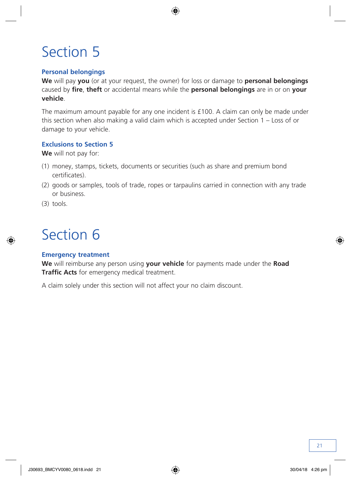#### <span id="page-22-0"></span>**Personal belongings**

**We** will pay **you** (or at your request, the owner) for loss or damage to **personal belongings**  caused by **fire**, **theft** or accidental means while the **personal belongings** are in or on **your vehicle**.

The maximum amount payable for any one incident is £100. A claim can only be made under this section when also making a valid claim which is accepted under Section 1 – Loss of or damage to your vehicle.

#### **Exclusions to Section 5**

**We** will not pay for:

- (1) money, stamps, tickets, documents or securities (such as share and premium bond certificates).
- (2) goods or samples, tools of trade, ropes or tarpaulins carried in connection with any trade or business.
- (3) tools.

### Section 6

#### **Emergency treatment**

**We** will reimburse any person using **your vehicle** for payments made under the **Road Traffic Acts** for emergency medical treatment.

A claim solely under this section will not affect your no claim discount.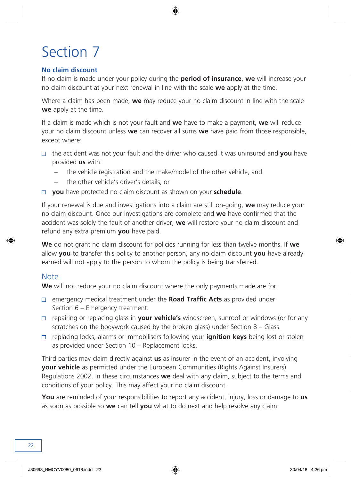#### <span id="page-23-0"></span>**No claim discount**

If no claim is made under your policy during the **period of insurance**, **we** will increase your no claim discount at your next renewal in line with the scale **we** apply at the time.

Where a claim has been made, **we** may reduce your no claim discount in line with the scale **we** apply at the time.

If a claim is made which is not your fault and **we** have to make a payment, **we** will reduce your no claim discount unless **we** can recover all sums **we** have paid from those responsible, except where:

- the accident was not your fault and the driver who caused it was uninsured and **you** have provided **us** with:
	- the vehicle registration and the make/model of the other vehicle, and
	- the other vehicle's driver's details, or
- **you** have protected no claim discount as shown on your **schedule**.

If your renewal is due and investigations into a claim are still on-going, **we** may reduce your no claim discount. Once our investigations are complete and **we** have confirmed that the accident was solely the fault of another driver, **we** will restore your no claim discount and refund any extra premium **you** have paid.

**We** do not grant no claim discount for policies running for less than twelve months. If **we** allow **you** to transfer this policy to another person, any no claim discount **you** have already earned will not apply to the person to whom the policy is being transferred.

#### **Note**

**We** will not reduce your no claim discount where the only payments made are for:

- emergency medical treatment under the **Road Traffic Acts** as provided under Section 6 – Emergency treatment.
- repairing or replacing glass in **your vehicle's** windscreen, sunroof or windows (or for any scratches on the bodywork caused by the broken glass) under Section 8 – Glass.
- replacing locks, alarms or immobilisers following your **ignition keys** being lost or stolen as provided under Section 10 – Replacement locks.

Third parties may claim directly against **us** as insurer in the event of an accident, involving **your vehicle** as permitted under the European Communities (Rights Against Insurers) Regulations 2002. In these circumstances **we** deal with any claim, subject to the terms and conditions of your policy. This may affect your no claim discount.

**You** are reminded of your responsibilities to report any accident, injury, loss or damage to **us** as soon as possible so **we** can tell **you** what to do next and help resolve any claim.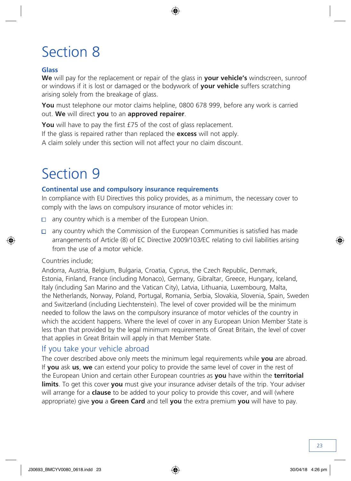#### <span id="page-24-0"></span>**Glass**

**We** will pay for the replacement or repair of the glass in **your vehicle's** windscreen, sunroof or windows if it is lost or damaged or the bodywork of **your vehicle** suffers scratching arising solely from the breakage of glass.

**You** must telephone our motor claims helpline, 0800 678 999, before any work is carried out. **We** will direct **you** to an **approved repairer**.

**You** will have to pay the first £75 of the cost of glass replacement.

If the glass is repaired rather than replaced the **excess** will not apply.

A claim solely under this section will not affect your no claim discount.

# Section 9

#### **Continental use and compulsory insurance requirements**

In compliance with EU Directives this policy provides, as a minimum, the necessary cover to comply with the laws on compulsory insurance of motor vehicles in:

- $\Box$  any country which is a member of the European Union.
- $\Box$  any country which the Commission of the European Communities is satisfied has made arrangements of Article (8) of EC Directive 2009/103/EC relating to civil liabilities arising from the use of a motor vehicle.

#### Countries include;

Andorra, Austria, Belgium, Bulgaria, Croatia, Cyprus, the Czech Republic, Denmark, Estonia, Finland, France (including Monaco), Germany, Gibraltar, Greece, Hungary, Iceland, Italy (including San Marino and the Vatican City), Latvia, Lithuania, Luxembourg, Malta, the Netherlands, Norway, Poland, Portugal, Romania, Serbia, Slovakia, Slovenia, Spain, Sweden and Switzerland (including Liechtenstein). The level of cover provided will be the minimum needed to follow the laws on the compulsory insurance of motor vehicles of the country in which the accident happens. Where the level of cover in any European Union Member State is less than that provided by the legal minimum requirements of Great Britain, the level of cover that applies in Great Britain will apply in that Member State.

### If you take your vehicle abroad

The cover described above only meets the minimum legal requirements while **you** are abroad. If **you** ask **us**, **we** can extend your policy to provide the same level of cover in the rest of the European Union and certain other European countries as **you** have within the **territorial limits**. To get this cover **you** must give your insurance adviser details of the trip. Your adviser will arrange for a **clause** to be added to your policy to provide this cover, and will (where appropriate) give **you** a **Green Card** and tell **you** the extra premium **you** will have to pay.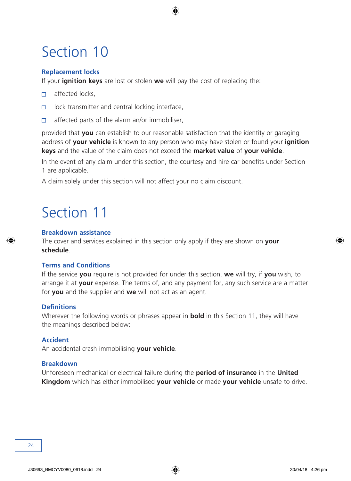#### <span id="page-25-0"></span>**Replacement locks**

If your **ignition keys** are lost or stolen **we** will pay the cost of replacing the:

- affected locks,  $\Box$
- lock transmitter and central locking interface,  $\Box$
- affected parts of the alarm an/or immobiliser,  $\Box$

provided that **you** can establish to our reasonable satisfaction that the identity or garaging address of **your vehicle** is known to any person who may have stolen or found your **ignition keys** and the value of the claim does not exceed the **market value** of **your vehicle**.

In the event of any claim under this section, the courtesy and hire car benefits under Section 1 are applicable.

A claim solely under this section will not affect your no claim discount.

### Section 11

#### **Breakdown assistance**

The cover and services explained in this section only apply if they are shown on **your schedule**.

#### **Terms and Conditions**

If the service **you** require is not provided for under this section, **we** will try, if **you** wish, to arrange it at **your** expense. The terms of, and any payment for, any such service are a matter for **you** and the supplier and **we** will not act as an agent.

#### **Definitions**

Wherever the following words or phrases appear in **bold** in this Section 11, they will have the meanings described below:

#### **Accident**

An accidental crash immobilising **your vehicle**.

#### **Breakdown**

Unforeseen mechanical or electrical failure during the **period of insurance** in the **United Kingdom** which has either immobilised **your vehicle** or made **your vehicle** unsafe to drive.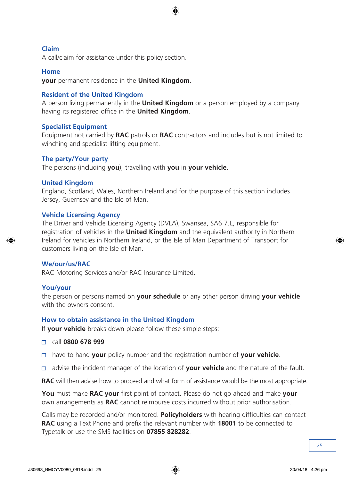#### **Claim**

A call/claim for assistance under this policy section.

#### **Home**

**your** permanent residence in the **United Kingdom**.

#### **Resident of the United Kingdom**

A person living permanently in the **United Kingdom** or a person employed by a company having its registered office in the **United Kingdom**.

#### **Specialist Equipment**

Equipment not carried by **RAC** patrols or **RAC** contractors and includes but is not limited to winching and specialist lifting equipment.

#### **The party/Your party**

The persons (including **you**), travelling with **you** in **your vehicle**.

#### **United Kingdom**

England, Scotland, Wales, Northern Ireland and for the purpose of this section includes Jersey, Guernsey and the Isle of Man.

#### **Vehicle Licensing Agency**

The Driver and Vehicle Licensing Agency (DVLA), Swansea, SA6 7JL, responsible for registration of vehicles in the **United Kingdom** and the equivalent authority in Northern Ireland for vehicles in Northern Ireland, or the Isle of Man Department of Transport for customers living on the Isle of Man.

#### **We/our/us/RAC**

RAC Motoring Services and/or RAC Insurance Limited.

#### **You/your**

the person or persons named on **your schedule** or any other person driving **your vehicle** with the owners consent.

#### **How to obtain assistance in the United Kingdom**

If **your vehicle** breaks down please follow these simple steps:

- call **0800 678 999**
- have to hand **your** policy number and the registration number of **your vehicle**.  $\Box$
- advise the incident manager of the location of **your vehicle** and the nature of the fault.  $\Box$

**RAC** will then advise how to proceed and what form of assistance would be the most appropriate.

**You** must make **RAC your** first point of contact. Please do not go ahead and make **your** own arrangements as **RAC** cannot reimburse costs incurred without prior authorisation.

Calls may be recorded and/or monitored. **Policyholders** with hearing difficulties can contact **RAC** using a Text Phone and prefix the relevant number with **18001** to be connected to Typetalk or use the SMS facilities on **07855 828282**.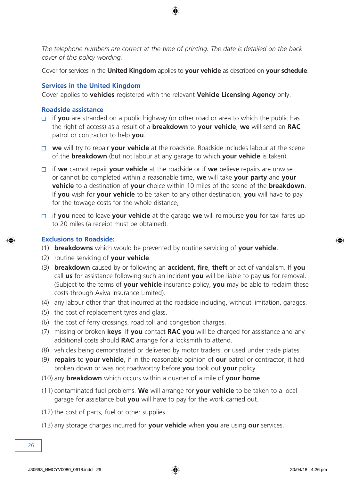*The telephone numbers are correct at the time of printing. The date is detailed on the back cover of this policy wording.*

Cover for services in the **United Kingdom** applies to **your vehicle** as described on **your schedule**.

#### **Services in the United Kingdom**

Cover applies to **vehicles** registered with the relevant **Vehicle Licensing Agency** only.

#### **Roadside assistance**

- $\Box$  if **you** are stranded on a public highway (or other road or area to which the public has the right of access) as a result of a **breakdown** to **your vehicle**, **we** will send an **RAC** patrol or contractor to help **you**.
- **we** will try to repair **your vehicle** at the roadside. Roadside includes labour at the scene of the **breakdown** (but not labour at any garage to which **your vehicle** is taken).
- if **we** cannot repair **your vehicle** at the roadside or if **we** believe repairs are unwise or cannot be completed within a reasonable time, **we** will take **your party** and **your vehicle** to a destination of **your** choice within 10 miles of the scene of the **breakdown**. If **you** wish for **your vehicle** to be taken to any other destination, **you** will have to pay for the towage costs for the whole distance,
- if **you** need to leave **your vehicle** at the garage **we** will reimburse **you** for taxi fares up to 20 miles (a receipt must be obtained).

#### **Exclusions to Roadside:**

- (1) **breakdowns** which would be prevented by routine servicing of **your vehicle**.
- (2) routine servicing of **your vehicle**.
- (3) **breakdown** caused by or following an **accident**, **fire**, **theft** or act of vandalism. If **you** call **us** for assistance following such an incident **you** will be liable to pay **us** for removal. (Subject to the terms of **your vehicle** insurance policy, **you** may be able to reclaim these costs through Aviva Insurance Limited).
- (4) any labour other than that incurred at the roadside including, without limitation, garages.
- (5) the cost of replacement tyres and glass.
- (6) the cost of ferry crossings, road toll and congestion charges.
- (7) missing or broken **keys**. If **you** contact **RAC you** will be charged for assistance and any additional costs should **RAC** arrange for a locksmith to attend.
- (8) vehicles being demonstrated or delivered by motor traders, or used under trade plates.
- (9) **repairs** to **your vehicle**, if in the reasonable opinion of **our** patrol or contractor, it had broken down or was not roadworthy before **you** took out **your** policy.
- (10) any **breakdown** which occurs within a quarter of a mile of **your home**.
- (11) contaminated fuel problems. **We** will arrange for **your vehicle** to be taken to a local garage for assistance but **you** will have to pay for the work carried out.
- (12) the cost of parts, fuel or other supplies.
- (13) any storage charges incurred for **your vehicle** when **you** are using **our** services.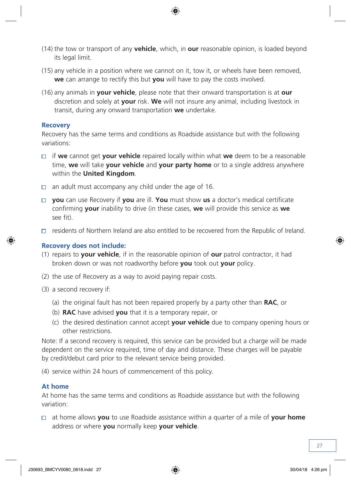- (14) the tow or transport of any **vehicle**, which, in **our** reasonable opinion, is loaded beyond its legal limit.
- (15) any vehicle in a position where we cannot on it, tow it, or wheels have been removed, **we** can arrange to rectify this but **you** will have to pay the costs involved.
- (16) any animals in **your vehicle**, please note that their onward transportation is at **our** discretion and solely at **your** risk. **We** will not insure any animal, including livestock in transit, during any onward transportation **we** undertake.

#### **Recovery**

Recovery has the same terms and conditions as Roadside assistance but with the following variations:

- if **we** cannot get **your vehicle** repaired locally within what **we** deem to be a reasonable time, **we** will take **your vehicle** and **your party home** or to a single address anywhere within the **United Kingdom**.
- $\Box$  an adult must accompany any child under the age of 16.
- **you** can use Recovery if **you** are ill. **You** must show **us** a doctor's medical certificate confirming **your** inability to drive (in these cases, **we** will provide this service as **we** see fit).
- $\Box$  residents of Northern Ireland are also entitled to be recovered from the Republic of Ireland.

#### **Recovery does not include:**

- (1) repairs to **your vehicle**, if in the reasonable opinion of **our** patrol contractor, it had broken down or was not roadworthy before **you** took out **your** policy.
- (2) the use of Recovery as a way to avoid paying repair costs.
- (3) a second recovery if:
	- (a) the original fault has not been repaired properly by a party other than **RAC**, or
	- (b) **RAC** have advised **you** that it is a temporary repair, or
	- (c) the desired destination cannot accept **your vehicle** due to company opening hours or other restrictions.

Note: If a second recovery is required, this service can be provided but a charge will be made dependent on the service required, time of day and distance. These charges will be payable by credit/debut card prior to the relevant service being provided.

(4) service within 24 hours of commencement of this policy.

#### **At home**

At home has the same terms and conditions as Roadside assistance but with the following variation:

 at home allows **you** to use Roadside assistance within a quarter of a mile of **your home**  address or where **you** normally keep **your vehicle**.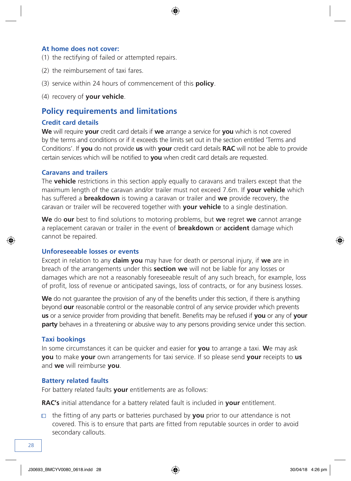#### **At home does not cover:**

- (1) the rectifying of failed or attempted repairs.
- (2) the reimbursement of taxi fares.
- (3) service within 24 hours of commencement of this **policy**.
- (4) recovery of **your vehicle**.

### **Policy requirements and limitations**

#### **Credit card details**

**We** will require **your** credit card details if **we** arrange a service for **you** which is not covered by the terms and conditions or if it exceeds the limits set out in the section entitled 'Terms and Conditions'. If **you** do not provide **us** with **your** credit card details **RAC** will not be able to provide certain services which will be notified to **you** when credit card details are requested.

#### **Caravans and trailers**

The **vehicle** restrictions in this section apply equally to caravans and trailers except that the maximum length of the caravan and/or trailer must not exceed 7.6m. If **your vehicle** which has suffered a **breakdown** is towing a caravan or trailer and **we** provide recovery, the caravan or trailer will be recovered together with **your vehicle** to a single destination.

**We** do **our** best to find solutions to motoring problems, but **we** regret **we** cannot arrange a replacement caravan or trailer in the event of **breakdown** or **accident** damage which cannot be repaired.

#### **Unforeseeable losses or events**

Except in relation to any **claim you** may have for death or personal injury, if **we** are in breach of the arrangements under this **section we** will not be liable for any losses or damages which are not a reasonably foreseeable result of any such breach, for example, loss of profit, loss of revenue or anticipated savings, loss of contracts, or for any business losses.

**We** do not guarantee the provision of any of the benefits under this section, if there is anything beyond **our** reasonable control or the reasonable control of any service provider which prevents **us** or a service provider from providing that benefit. Benefits may be refused if **you** or any of **your party** behaves in a threatening or abusive way to any persons providing service under this section.

#### **Taxi bookings**

In some circumstances it can be quicker and easier for **you** to arrange a taxi. **W**e may ask **you** to make **your** own arrangements for taxi service. If so please send **your** receipts to **us** and **we** will reimburse **you**.

#### **Battery related faults**

For battery related faults **your** entitlements are as follows:

**RAC's** initial attendance for a battery related fault is included in **your** entitlement.

the fitting of any parts or batteries purchased by **you** prior to our attendance is not covered. This is to ensure that parts are fitted from reputable sources in order to avoid secondary callouts.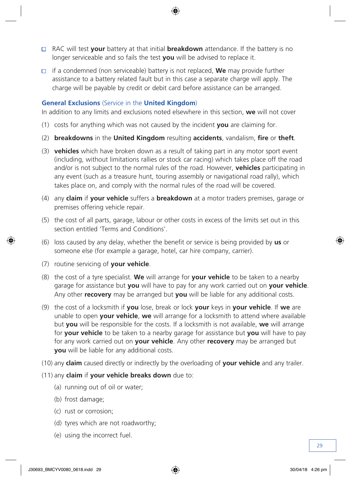- RAC will test **your** battery at that initial **breakdown** attendance. If the battery is no longer serviceable and so fails the test **you** will be advised to replace it.
- $\Box$  if a condemned (non serviceable) battery is not replaced, **We** may provide further assistance to a battery related fault but in this case a separate charge will apply. The charge will be payable by credit or debit card before assistance can be arranged.

#### **General Exclusions** (Service in the **United Kingdom**)

In addition to any limits and exclusions noted elsewhere in this section, **we** will not cover

- (1) costs for anything which was not caused by the incident **you** are claiming for.
- (2) **breakdowns** in the **United Kingdom** resulting **accidents**, vandalism, **fire** or **theft**.
- (3) **vehicles** which have broken down as a result of taking part in any motor sport event (including, without limitations rallies or stock car racing) which takes place off the road and/or is not subject to the normal rules of the road. However, **vehicles** participating in any event (such as a treasure hunt, touring assembly or navigational road rally), which takes place on, and comply with the normal rules of the road will be covered.
- (4) any **claim** if **your vehicle** suffers a **breakdown** at a motor traders premises, garage or premises offering vehicle repair.
- (5) the cost of all parts, garage, labour or other costs in excess of the limits set out in this section entitled 'Terms and Conditions'.
- (6) loss caused by any delay, whether the benefit or service is being provided by **us** or someone else (for example a garage, hotel, car hire company, carrier).
- (7) routine servicing of **your vehicle**.
- (8) the cost of a tyre specialist. **We** will arrange for **your vehicle** to be taken to a nearby garage for assistance but **you** will have to pay for any work carried out on **your vehicle**. Any other **recovery** may be arranged but **you** will be liable for any additional costs.
- (9) the cost of a locksmith if **you** lose, break or lock **your** keys in **your vehicle**. If **we** are unable to open **your vehicle**, **we** will arrange for a locksmith to attend where available but **you** will be responsible for the costs. If a locksmith is not available, **we** will arrange for **your vehicle** to be taken to a nearby garage for assistance but **you** will have to pay for any work carried out on **your vehicle**. Any other **recovery** may be arranged but **you** will be liable for any additional costs.
- (10) any **claim** caused directly or indirectly by the overloading of **your vehicle** and any trailer.
- (11) any **claim** if **your vehicle breaks down** due to:
	- (a) running out of oil or water;
	- (b) frost damage;
	- (c) rust or corrosion;
	- (d) tyres which are not roadworthy;
	- (e) using the incorrect fuel.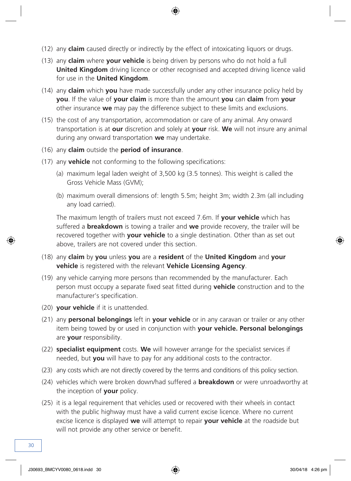- (12) any **claim** caused directly or indirectly by the effect of intoxicating liquors or drugs.
- (13) any **claim** where **your vehicle** is being driven by persons who do not hold a full **United Kingdom** driving licence or other recognised and accepted driving licence valid for use in the **United Kingdom**.
- (14) any **claim** which **you** have made successfully under any other insurance policy held by **you**. If the value of **your claim** is more than the amount **you** can **claim** from **your** other insurance **we** may pay the difference subject to these limits and exclusions.
- (15) the cost of any transportation, accommodation or care of any animal. Any onward transportation is at **our** discretion and solely at **your** risk. **We** will not insure any animal during any onward transportation **we** may undertake.
- (16) any **claim** outside the **period of insurance**.
- (17) any **vehicle** not conforming to the following specifications:
	- (a) maximum legal laden weight of 3,500 kg (3.5 tonnes). This weight is called the Gross Vehicle Mass (GVM);
	- (b) maximum overall dimensions of: length 5.5m; height 3m; width 2.3m (all including any load carried).

The maximum length of trailers must not exceed 7.6m. If **your vehicle** which has suffered a **breakdown** is towing a trailer and **we** provide recovery, the trailer will be recovered together with **your vehicle** to a single destination. Other than as set out above, trailers are not covered under this section.

- (18) any **claim** by **you** unless **you** are a **resident** of the **United Kingdom** and **your vehicle** is registered with the relevant **Vehicle Licensing Agency**.
- (19) any vehicle carrying more persons than recommended by the manufacturer. Each person must occupy a separate fixed seat fitted during **vehicle** construction and to the manufacturer's specification.
- (20) **your vehicle** if it is unattended.
- (21) any **personal belongings** left in **your vehicle** or in any caravan or trailer or any other item being towed by or used in conjunction with **your vehicle. Personal belongings**  are **your** responsibility.
- (22) **specialist equipment** costs. **We** will however arrange for the specialist services if needed, but **you** will have to pay for any additional costs to the contractor.
- (23) any costs which are not directly covered by the terms and conditions of this policy section.
- (24) vehicles which were broken down/had suffered a **breakdown** or were unroadworthy at the inception of **your** policy.
- (25) it is a legal requirement that vehicles used or recovered with their wheels in contact with the public highway must have a valid current excise licence. Where no current excise licence is displayed **we** will attempt to repair **your vehicle** at the roadside but will not provide any other service or benefit.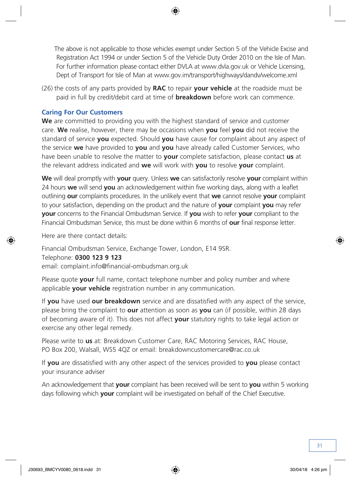The above is not applicable to those vehicles exempt under Section 5 of the Vehicle Excise and Registration Act 1994 or under Section 5 of the Vehicle Duty Order 2010 on the Isle of Man. For further information please contact either DVLA at www.dvla.gov.uk or Vehicle Licensing, Dept of Transport for Isle of Man at www.gov.im/transport/highways/dandv/welcome.xml

(26) the costs of any parts provided by **RAC** to repair **your vehicle** at the roadside must be paid in full by credit/debit card at time of **breakdown** before work can commence.

#### **Caring For Our Customers**

**We** are committed to providing you with the highest standard of service and customer care. **We** realise, however, there may be occasions when **you** feel **you** did not receive the standard of service **you** expected. Should **you** have cause for complaint about any aspect of the service **we** have provided to **you** and **you** have already called Customer Services, who have been unable to resolve the matter to **your** complete satisfaction, please contact **us** at the relevant address indicated and **we** will work with **you** to resolve **your** complaint.

**We** will deal promptly with **your** query. Unless **we** can satisfactorily resolve **your** complaint within 24 hours **we** will send **you** an acknowledgement within five working days, along with a leaflet outlining **our** complaints procedures. In the unlikely event that **we** cannot resolve **your** complaint to your satisfaction, depending on the product and the nature of **your** complaint **you** may refer **your** concerns to the Financial Ombudsman Service. If **you** wish to refer **your** compliant to the Financial Ombudsman Service, this must be done within 6 months of **our** final response letter.

Here are there contact details:

Financial Ombudsman Service, Exchange Tower, London, E14 9SR.

Telephone: **0300 123 9 123**

email: complaint.info@financial-ombudsman.org.uk

Please quote **your** full name, contact telephone number and policy number and where applicable **your vehicle** registration number in any communication.

If **you** have used **our breakdown** service and are dissatisfied with any aspect of the service, please bring the complaint to **our** attention as soon as **you** can (if possible, within 28 days of becoming aware of it). This does not affect **your** statutory rights to take legal action or exercise any other legal remedy.

Please write to **us** at: Breakdown Customer Care, RAC Motoring Services, RAC House, PO Box 200, Walsall, WS5 4QZ or email: breakdowncustomercare@rac.co.uk

If **you** are dissatisfied with any other aspect of the services provided to **you** please contact your insurance adviser

An acknowledgement that **your** complaint has been received will be sent to **you** within 5 working days following which **your** complaint will be investigated on behalf of the Chief Executive.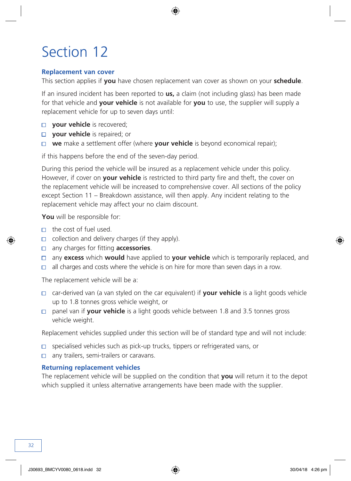#### <span id="page-33-0"></span>**Replacement van cover**

This section applies if **you** have chosen replacement van cover as shown on your **schedule**.

If an insured incident has been reported to **us,** a claim (not including glass) has been made for that vehicle and **your vehicle** is not available for **you** to use, the supplier will supply a replacement vehicle for up to seven days until:

- **D** vour vehicle is recovered:
- **D** vour vehicle is repaired; or
- **we** make a settlement offer (where **your vehicle** is beyond economical repair);

if this happens before the end of the seven-day period.

During this period the vehicle will be insured as a replacement vehicle under this policy. However, if cover on **your vehicle** is restricted to third party fire and theft, the cover on the replacement vehicle will be increased to comprehensive cover. All sections of the policy except Section 11 – Breakdown assistance, will then apply. Any incident relating to the replacement vehicle may affect your no claim discount.

**You** will be responsible for:

- $\Box$  the cost of fuel used.
- $\Box$  collection and delivery charges (if they apply).
- any charges for fitting **accessories**.
- any **excess** which **would** have applied to **your vehicle** which is temporarily replaced, and
- all charges and costs where the vehicle is on hire for more than seven days in a row.  $\Box$

The replacement vehicle will be a:

- car-derived van (a van styled on the car equivalent) if **your vehicle** is a light goods vehicle up to 1.8 tonnes gross vehicle weight, or
- panel van if **your vehicle** is a light goods vehicle between 1.8 and 3.5 tonnes gross vehicle weight.

Replacement vehicles supplied under this section will be of standard type and will not include:

- specialised vehicles such as pick-up trucks, tippers or refrigerated vans, or  $\Box$
- $\Box$ any trailers, semi-trailers or caravans.

#### **Returning replacement vehicles**

The replacement vehicle will be supplied on the condition that **you** will return it to the depot which supplied it unless alternative arrangements have been made with the supplier.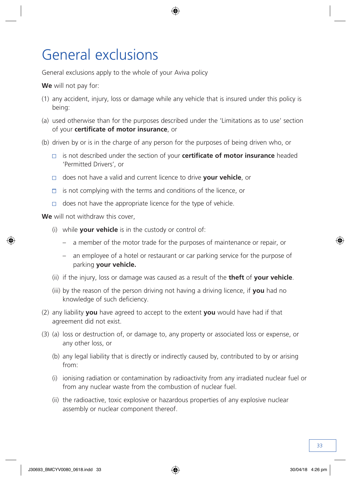### <span id="page-34-0"></span>General exclusions

General exclusions apply to the whole of your Aviva policy

**We** will not pay for:

- (1) any accident, injury, loss or damage while any vehicle that is insured under this policy is being:
- (a) used otherwise than for the purposes described under the 'Limitations as to use' section of your **certificate of motor insurance**, or
- (b) driven by or is in the charge of any person for the purposes of being driven who, or
	- is not described under the section of your **certificate of motor insurance** headed 'Permitted Drivers', or
	- does not have a valid and current licence to drive **your vehicle**, or
	- $\Box$  is not complying with the terms and conditions of the licence, or
	- $\Box$  does not have the appropriate licence for the type of vehicle.

**We** will not withdraw this cover,

- (i) while **your vehicle** is in the custody or control of:
	- a member of the motor trade for the purposes of maintenance or repair, or
	- an employee of a hotel or restaurant or car parking service for the purpose of parking **your vehicle.**
- (ii) if the injury, loss or damage was caused as a result of the **theft** of **your vehicle**.
- (iii) by the reason of the person driving not having a driving licence, if **you** had no knowledge of such deficiency.
- (2) any liability **you** have agreed to accept to the extent **you** would have had if that agreement did not exist.
- (3) (a) loss or destruction of, or damage to, any property or associated loss or expense, or any other loss, or
	- (b) any legal liability that is directly or indirectly caused by, contributed to by or arising from:
	- (i) ionising radiation or contamination by radioactivity from any irradiated nuclear fuel or from any nuclear waste from the combustion of nuclear fuel.
	- (ii) the radioactive, toxic explosive or hazardous properties of any explosive nuclear assembly or nuclear component thereof.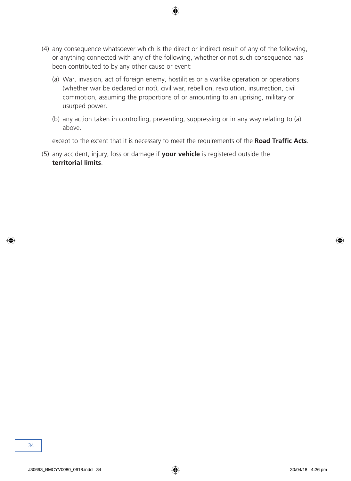- (4) any consequence whatsoever which is the direct or indirect result of any of the following, or anything connected with any of the following, whether or not such consequence has been contributed to by any other cause or event:
	- (a) War, invasion, act of foreign enemy, hostilities or a warlike operation or operations (whether war be declared or not), civil war, rebellion, revolution, insurrection, civil commotion, assuming the proportions of or amounting to an uprising, military or usurped power.
	- (b) any action taken in controlling, preventing, suppressing or in any way relating to (a) above.

except to the extent that it is necessary to meet the requirements of the **Road Traffic Acts**.

(5) any accident, injury, loss or damage if **your vehicle** is registered outside the **territorial limits**.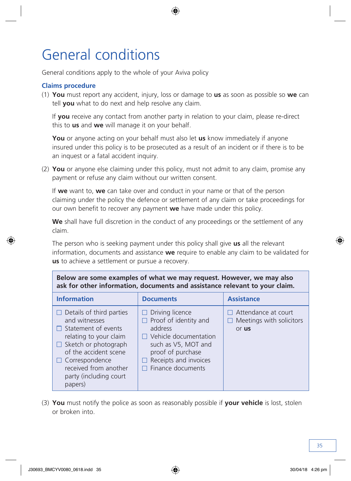### <span id="page-36-0"></span>General conditions

General conditions apply to the whole of your Aviva policy

#### **Claims procedure**

(1) **You** must report any accident, injury, loss or damage to **us** as soon as possible so **we** can tell **you** what to do next and help resolve any claim.

If **you** receive any contact from another party in relation to your claim, please re-direct this to **us** and **we** will manage it on your behalf.

**You** or anyone acting on your behalf must also let **us** know immediately if anyone insured under this policy is to be prosecuted as a result of an incident or if there is to be an inquest or a fatal accident inquiry.

(2) **You** or anyone else claiming under this policy, must not admit to any claim, promise any payment or refuse any claim without our written consent.

If **we** want to, **we** can take over and conduct in your name or that of the person claiming under the policy the defence or settlement of any claim or take proceedings for our own benefit to recover any payment **we** have made under this policy.

**We** shall have full discretion in the conduct of any proceedings or the settlement of any claim.

The person who is seeking payment under this policy shall give **us** all the relevant information, documents and assistance **we** require to enable any claim to be validated for **us** to achieve a settlement or pursue a recovery.

| Below are some examples of what we may request. However, we may also<br>ask for other information, documents and assistance relevant to your claim.                                                                                               |                                                                                                                                                                                                      |                                                                        |  |  |  |
|---------------------------------------------------------------------------------------------------------------------------------------------------------------------------------------------------------------------------------------------------|------------------------------------------------------------------------------------------------------------------------------------------------------------------------------------------------------|------------------------------------------------------------------------|--|--|--|
| <b>Information</b>                                                                                                                                                                                                                                | <b>Documents</b>                                                                                                                                                                                     | <b>Assistance</b>                                                      |  |  |  |
| Details of third parties<br>and witnesses<br>$\Box$ Statement of events<br>relating to your claim<br>$\Box$ Sketch or photograph<br>of the accident scene<br>$\Box$ Correspondence<br>received from another<br>party (including court)<br>papers) | Driving licence<br>$\Box$<br>$\Box$ Proof of identity and<br>address<br>$\Box$ Vehicle documentation<br>such as V5, MOT and<br>proof of purchase<br>Receipts and invoices<br>TТ<br>Finance documents | $\Box$ Attendance at court<br>$\Box$ Meetings with solicitors<br>or us |  |  |  |

(3) **You** must notify the police as soon as reasonably possible if **your vehicle** is lost, stolen or broken into.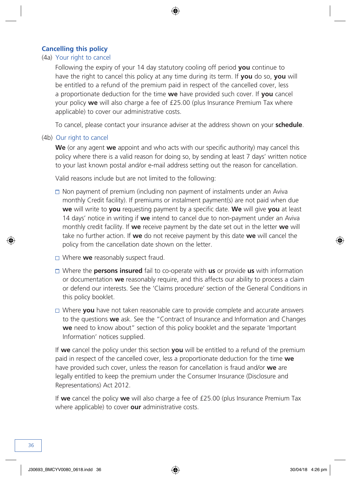#### **Cancelling this policy**

#### (4a) Your right to cancel

Following the expiry of your 14 day statutory cooling off period **you** continue to have the right to cancel this policy at any time during its term. If **you** do so, **you** will be entitled to a refund of the premium paid in respect of the cancelled cover, less a proportionate deduction for the time **we** have provided such cover. If **you** cancel your policy **we** will also charge a fee of £25.00 (plus Insurance Premium Tax where applicable) to cover our administrative costs.

To cancel, please contact your insurance adviser at the address shown on your **schedule**.

#### (4b) Our right to cancel

**We** (or any agent **we** appoint and who acts with our specific authority) may cancel this policy where there is a valid reason for doing so, by sending at least 7 days' written notice to your last known postal and/or e-mail address setting out the reason for cancellation.

Valid reasons include but are not limited to the following:

- $\Box$  Non payment of premium (including non payment of instalments under an Aviva monthly Credit facility). If premiums or instalment payment(s) are not paid when due **we** will write to **you** requesting payment by a specific date. **We** will give **you** at least 14 days' notice in writing if **we** intend to cancel due to non-payment under an Aviva monthly credit facility. If **we** receive payment by the date set out in the letter **we** will take no further action. If **we** do not receive payment by this date **we** will cancel the policy from the cancellation date shown on the letter.
- □ Where **we** reasonably suspect fraud.
- Where the **persons insured** fail to co-operate with **us** or provide **us** with information or documentation **we** reasonably require, and this affects our ability to process a claim or defend our interests. See the 'Claims procedure' section of the General Conditions in this policy booklet.
- Where **you** have not taken reasonable care to provide complete and accurate answers to the questions **we** ask. See the "Contract of Insurance and Information and Changes **we** need to know about" section of this policy booklet and the separate 'Important Information' notices supplied.

If **we** cancel the policy under this section **you** will be entitled to a refund of the premium paid in respect of the cancelled cover, less a proportionate deduction for the time **we** have provided such cover, unless the reason for cancellation is fraud and/or **we** are legally entitled to keep the premium under the Consumer Insurance (Disclosure and Representations) Act 2012.

If **we** cancel the policy **we** will also charge a fee of £25.00 (plus Insurance Premium Tax where applicable) to cover **our** administrative costs.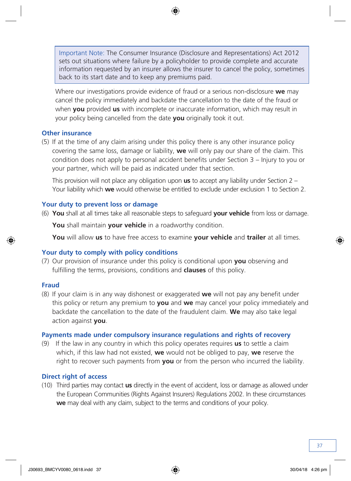Important Note: The Consumer Insurance (Disclosure and Representations) Act 2012 sets out situations where failure by a policyholder to provide complete and accurate information requested by an insurer allows the insurer to cancel the policy, sometimes back to its start date and to keep any premiums paid.

Where our investigations provide evidence of fraud or a serious non-disclosure **we** may cancel the policy immediately and backdate the cancellation to the date of the fraud or when **you** provided **us** with incomplete or inaccurate information, which may result in your policy being cancelled from the date **you** originally took it out.

#### **Other insurance**

(5) If at the time of any claim arising under this policy there is any other insurance policy covering the same loss, damage or liability, **we** will only pay our share of the claim. This condition does not apply to personal accident benefits under Section 3 – Injury to you or your partner, which will be paid as indicated under that section.

This provision will not place any obligation upon **us** to accept any liability under Section 2 – Your liability which **we** would otherwise be entitled to exclude under exclusion 1 to Section 2.

#### **Your duty to prevent loss or damage**

(6) **You** shall at all times take all reasonable steps to safeguard **your vehicle** from loss or damage.

**You** shall maintain **your vehicle** in a roadworthy condition.

**You** will allow **us** to have free access to examine **your vehicle** and **trailer** at all times.

#### **Your duty to comply with policy conditions**

(7) Our provision of insurance under this policy is conditional upon **you** observing and fulfilling the terms, provisions, conditions and **clauses** of this policy.

#### **Fraud**

(8) If your claim is in any way dishonest or exaggerated **we** will not pay any benefit under this policy or return any premium to **you** and **we** may cancel your policy immediately and backdate the cancellation to the date of the fraudulent claim. **We** may also take legal action against **you**.

#### **Payments made under compulsory insurance regulations and rights of recovery**

(9) If the law in any country in which this policy operates requires **us** to settle a claim which, if this law had not existed, **we** would not be obliged to pay, **we** reserve the right to recover such payments from **you** or from the person who incurred the liability.

#### **Direct right of access**

(10) Third parties may contact **us** directly in the event of accident, loss or damage as allowed under the European Communities (Rights Against Insurers) Regulations 2002. In these circumstances **we** may deal with any claim, subject to the terms and conditions of your policy.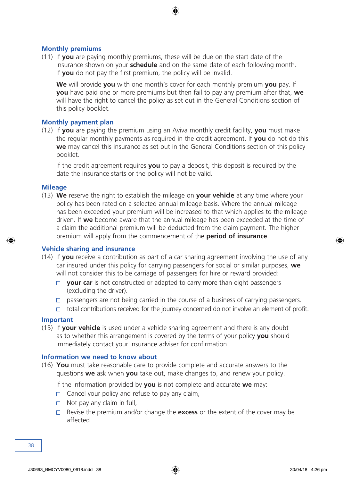#### **Monthly premiums**

(11) If **you** are paying monthly premiums, these will be due on the start date of the insurance shown on your **schedule** and on the same date of each following month. If **you** do not pay the first premium, the policy will be invalid.

**We** will provide **you** with one month's cover for each monthly premium **you** pay. If **you** have paid one or more premiums but then fail to pay any premium after that, **we** will have the right to cancel the policy as set out in the General Conditions section of this policy booklet.

#### **Monthly payment plan**

(12) If **you** are paying the premium using an Aviva monthly credit facility, **you** must make the regular monthly payments as required in the credit agreement. If **you** do not do this **we** may cancel this insurance as set out in the General Conditions section of this policy booklet.

If the credit agreement requires **you** to pay a deposit, this deposit is required by the date the insurance starts or the policy will not be valid.

#### **Mileage**

(13) **We** reserve the right to establish the mileage on **your vehicle** at any time where your policy has been rated on a selected annual mileage basis. Where the annual mileage has been exceeded your premium will be increased to that which applies to the mileage driven. If **we** become aware that the annual mileage has been exceeded at the time of a claim the additional premium will be deducted from the claim payment. The higher premium will apply from the commencement of the **period of insurance**.

#### **Vehicle sharing and insurance**

- (14) If **you** receive a contribution as part of a car sharing agreement involving the use of any car insured under this policy for carrying passengers for social or similar purposes, **we** will not consider this to be carriage of passengers for hire or reward provided:
	- □ **your car** is not constructed or adapted to carry more than eight passengers (excluding the driver).
	- $\Box$  passengers are not being carried in the course of a business of carrying passengers.
	- $\Box$  total contributions received for the journey concerned do not involve an element of profit.

#### **Important**

(15) If **your vehicle** is used under a vehicle sharing agreement and there is any doubt as to whether this arrangement is covered by the terms of your policy **you** should immediately contact your insurance adviser for confirmation.

#### **Information we need to know about**

(16) **You** must take reasonable care to provide complete and accurate answers to the questions **we** ask when **you** take out, make changes to, and renew your policy.

If the information provided by **you** is not complete and accurate **we** may:

- $\Box$  Cancel your policy and refuse to pay any claim,
- $\Box$  Not pay any claim in full,
- Revise the premium and/or change the **excess** or the extent of the cover may be affected.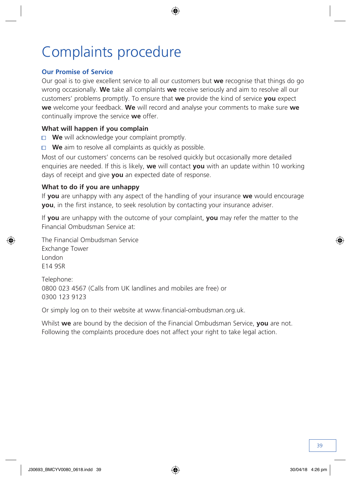# Complaints procedure

#### **Our Promise of Service**

Our goal is to give excellent service to all our customers but **we** recognise that things do go wrong occasionally. **We** take all complaints **we** receive seriously and aim to resolve all our customers' problems promptly. To ensure that **we** provide the kind of service **you** expect **we** welcome your feedback. **We** will record and analyse your comments to make sure **we**  continually improve the service **we** offer.

#### **What will happen if you complain**

- **We** will acknowledge your complaint promptly.
- □ **We** aim to resolve all complaints as quickly as possible.

Most of our customers' concerns can be resolved quickly but occasionally more detailed enquiries are needed. If this is likely, **we** will contact **you** with an update within 10 working days of receipt and give **you** an expected date of response.

#### **What to do if you are unhappy**

If **you** are unhappy with any aspect of the handling of your insurance **we** would encourage **you**, in the first instance, to seek resolution by contacting your insurance adviser.

If **you** are unhappy with the outcome of your complaint, **you** may refer the matter to the Financial Ombudsman Service at:

The Financial Ombudsman Service Exchange Tower London E14 9SR

Telephone: 0800 023 4567 (Calls from UK landlines and mobiles are free) or 0300 123 9123

Or simply log on to their website at www.financial-ombudsman.org.uk.

Whilst **we** are bound by the decision of the Financial Ombudsman Service, **you** are not. Following the complaints procedure does not affect your right to take legal action.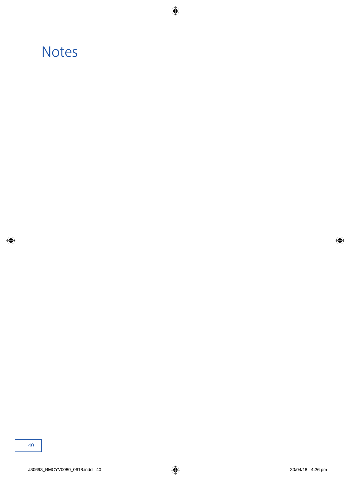### **Notes**